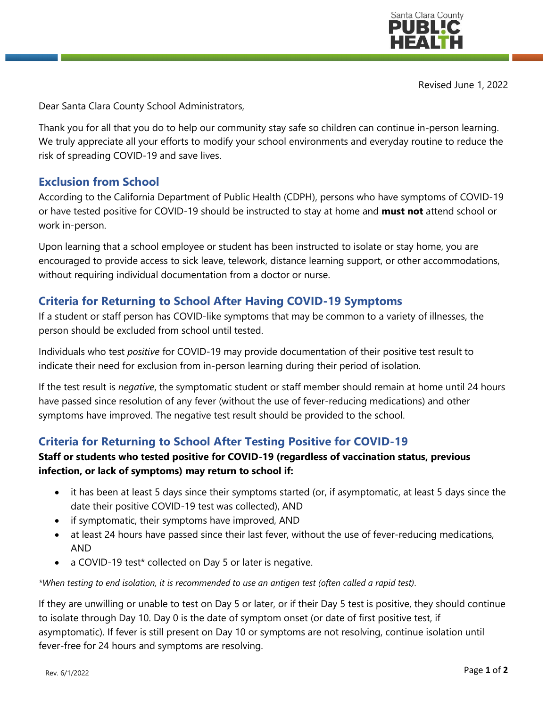

Revised June 1, 2022

Dear Santa Clara County School Administrators,

Thank you for all that you do to help our community stay safe so children can continue in-person learning. We truly appreciate all your efforts to modify your school environments and everyday routine to reduce the risk of spreading COVID-19 and save lives.

### **Exclusion from School**

According to the California Department of Public Health (CDPH), persons who have symptoms of COVID-19 or have tested positive for COVID-19 should be instructed to stay at home and **must not** attend school or work in-person.

Upon learning that a school employee or student has been instructed to isolate or stay home, you are encouraged to provide access to sick leave, telework, distance learning support, or other accommodations, without requiring individual documentation from a doctor or nurse.

## **Criteria for Returning to School After Having COVID-19 Symptoms**

If a student or staff person has COVID-like symptoms that may be common to a variety of illnesses, the person should be excluded from school until tested.

Individuals who test *positive* for COVID-19 may provide documentation of their positive test result to indicate their need for exclusion from in-person learning during their period of isolation.

If the test result is *negative*, the symptomatic student or staff member should remain at home until 24 hours have passed since resolution of any fever (without the use of fever-reducing medications) and other symptoms have improved. The negative test result should be provided to the school.

### **Criteria for Returning to School After Testing Positive for COVID-19**

#### **Staff or students who tested positive for COVID-19 (regardless of vaccination status, previous infection, or lack of symptoms) may return to school if:**

- it has been at least 5 days since their symptoms started (or, if asymptomatic, at least 5 days since the date their positive COVID-19 test was collected), AND
- if symptomatic, their symptoms have improved, AND
- at least 24 hours have passed since their last fever, without the use of fever-reducing medications, AND
- a COVID-19 test\* collected on Day 5 or later is negative.

*\*When testing to end isolation, it is recommended to use an antigen test (often called a rapid test).*

If they are unwilling or unable to test on Day 5 or later, or if their Day 5 test is positive, they should continue to isolate through Day 10. Day 0 is the date of symptom onset (or date of first positive test, if asymptomatic). If fever is still present on Day 10 or symptoms are not resolving, continue isolation until fever-free for 24 hours and symptoms are resolving.